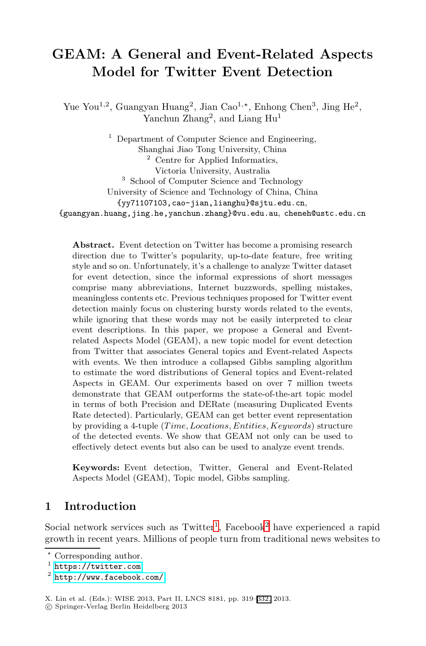# **GEAM: A General and Event-Related Aspects Model for Twitter Event Detection**

Yue You<sup>1,2</sup>, Guangyan Huang<sup>2</sup>, Jian Cao<sup>1,\*</sup>, Enhong Chen<sup>3</sup>, Jing He<sup>2</sup>, Yanchun Zhang<sup>2</sup>, and Liang Hu<sup>1</sup>

<sup>1</sup> Department of Computer Science and Engineering, Shanghai Jiao Tong University, China <sup>2</sup> Centre for Applied Informatics, Victoria University, Australia <sup>3</sup> School of Computer Science and Technology University of Science and Technology of China, China {yy71107103,cao-jian,lianghu}@sjtu.edu.cn, {guangyan.huang,jing.he,yanchun.zhang}@vu.edu.au, cheneh@ustc.edu.cn

**Abstract.** Event detection on Twitter has become a promising research direction due to Twitter's popularity, up-to-date feature, free writing style and so on. Unfortunately, it's a challenge to analyze Twitter dataset for event detection, since the informal expressions of short messages comprise many abbreviations, Internet buzzwords, spelling mistakes, meaningless contents etc. Previous techniques proposed for Twitter event detection mainly focus on clustering bursty words related to the events, while ignoring that these words may not be easily interpreted to clear event descriptions. In this paper, we propose a General and Eventrelated Aspects Model (GEAM), a new topic model for event detection from Twitter that associates General topics and Event-related Aspects with events. We then introduce a collapsed Gibbs sampling algorithm to estimate the word distributions of General topics and Event-related Aspects in GEAM. Our experiments based on over 7 million tweets demonstrate that GEAM outperforms the state-of-the-art topic model in terms of both Precision and DERate (measuring Duplicated Events Rate detected). Particularly, GEAM can get better event representation by providing a 4-tuple (*T ime, Locations, Entities, Keywords*) structure of the detected [ev](#page-0-0)ents. We s[ho](#page-0-1)w that GEAM not only can be used to effectively detect events but also can be used to analyze event trends.

<span id="page-0-1"></span><span id="page-0-0"></span>**Keywords:** Event detection, Twitter, General and Event-Related Aspects Model (GEAM), Topic model, Gibbs sampling.

### **1 Introduction**

Social network services such as  $Twitter<sup>1</sup>$ , Facebook<sup>2</sup> have experienced a rapid growth in recent years. Millions of people turn from traditional news websites to

 $\star$ Corresponding author.

 $<sup>1</sup>$  https://twitter.com</sup>

<sup>2</sup> http://www.facebook.com/

X. Lin et al. (Eds.): WISE 2013, Part II, LNCS 8181, pp. 319–332, 2013.

<sup>-</sup>c Springer-Verlag Berlin Heidelberg 2013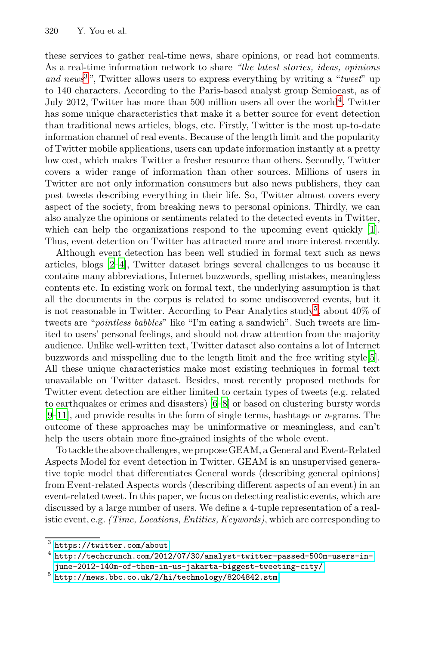these services to gather real-time news, share opinions, or read hot comments. As a real-time information network to share *"the latest stories, ideas, opinions and news*<sup>3</sup>*"*, Twitter allows users to express everything by writing a "*tweet*" up to 140 characters. According to the Paris-based analyst group Semiocast, as of July 2012, Twitter has more than 500 million users all over the world<sup>4</sup>. Twitter has some unique characteristics that make it a better source for event detection than traditional news articles, blogs, etc. Firstly, Twitter is the most up-to-date information channel of real events. Because of the length li[mit](#page-13-0) and the popularity of Twitter mobile applications, users can update information instantly at a pretty low cost, which makes Twitter a fresher resource than others. Secondly, Twitter [c](#page-13-1)overs a wider range of information than other sources. Millions of users in Twitter are not only information consumers but also news publishers, they can post tweets describing everything in their life. So, Twitter almost covers every aspect of the society, from breaking news to personal opinions. Thirdly, we can also analyze the opinions or sentiments relate[d t](#page-1-0)o the detected events in Twitter, which can help the organizations respond to the upcoming event quickly [1]. Thus, event detection on Twitter has attracted more and more interest recently.

Although event detection has been well studied in formal text such as news articles, blogs [2–4], Twitter dataset brings several challe[ng](#page-13-2)es to us because it contains many abbreviations, Internet buzzwords, spelling mistakes, meaningless contents etc. In existing work on formal text, the underlying assumption is that all the documents in the corpus is related to some undiscovered events, but it is not reasonable in [Tw](#page-13-3)[itt](#page-13-4)er. According to Pear Analytics study<sup>5</sup>, about  $40\%$  of tweets are "*pointless babbles*" like "I'm eating a sandwich". Such tweets are limited to users' personal feelings, and should not draw attention from the majority audience. Unlike well-written text, Twitter dataset also contains a lot of Internet buzzwords and misspelling due to the length limit and the free writing style[5]. All these unique characteristics make most existing techniques in formal text unavailable on Twitter dataset. Besides, most recently proposed methods for Twitter event detection are either limited to certain types of tweets (e.g. related to earthquakes or crimes and disasters) [6–8] or based on clustering bursty words [9–11], and provide results in the form of single terms, hashtags or *n*-grams. The outcome of these approaches may be uninformative or meaningless, and can't help the users obtain more fine-grained insights of the whole event.

<span id="page-1-0"></span>To tackle the above challenges, we propose GEAM, a General and Event-Related [Aspects](https://twitter.com/about) [Mo](https://twitter.com/about)del for event detection in Twitter. GEAM is an unsupervised genera[tive topic model that differentiates General words](http://techcrunch.com/2012/07/30/analyst-twitter-passed-500m-users-in-june-2012-140m-of-them-in-us-jakarta-biggest-tweeting-city/) [\(describin](http://techcrunch.com/2012/07/30/analyst-twitter-passed-500m-users-in-june-2012-140m-of-them-in-us-jakarta-biggest-tweeting-city/)g general opinions) [from Event-related Aspects words \(des](http://news.bbc.co.uk/2/hi/technology/8204842.stm)cribing different aspects of an event) in an event-related tweet. In this paper, we focus on detecting realistic events, which are discussed by a large number of users. We define a 4-tuple representation of a realistic event, e.g. *(Time, Locations, Entities, Keywords)*, which are corresponding to

 $\frac{3}{3}$ https://twitter.com/about

<sup>4</sup> http://techcrunch.com/2012/07/30/analyst-twitter-passed-500m-users-in-

june-2012-140m-of-them-in-us-jakarta-biggest-tweeting-city/

<sup>5</sup> http://news.bbc.co.uk/2/hi/technology/8204842.stm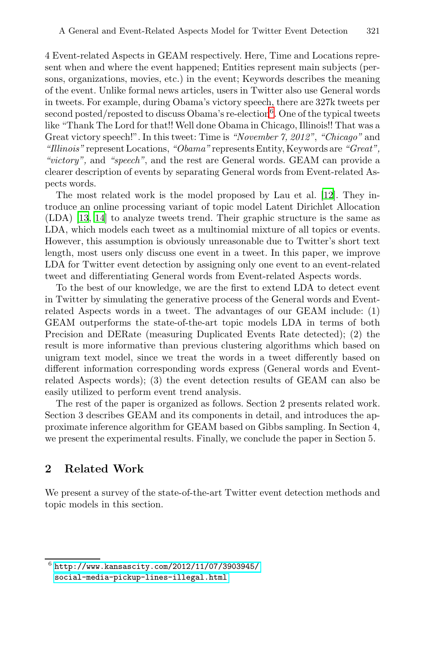4 Event-related Aspects in GEAM respectively. Here, Time and Locations represent when and where the event happened; Entities represent main subjects (persons, organizations, movies, etc.) in the event; Keywords describes the meaning of the event. Unlike formal news articles, users in Twitter also use General words in tweets. For example, during Obama's victory [spee](#page-13-5)ch, there are 327k tweets per second posted/reposted to discuss Obama's re-election<sup>6</sup>. One of the typical tweets like "Thank The Lord for that!! Well done Obama in Chicago, Illinois!! That was a Great victory speech!". In this tweet: Time is *"November 7, 2012"*, *"Chicago"* and *"Illinois"* represent Locations, *"Obama"* represents Entity, Keywords are *"Great", "victory",* and *"speech"*, and the rest are General words. GEAM can provide a clearer description of events by separating General words from Event-related Aspects words.

The most related work is the model proposed by Lau et al. [12]. They introduce an online processing variant of topic model Latent Dirichlet Allocation (LDA) [13, 14] to analyze tweets trend. Their graphic structure is the same as LDA, which models each tweet as a multinomial mixture of all topics or events. However, this assumption is obviously unreasonable due to Twitter's short text length, most users only discuss one event in a tweet. In this paper, we improve LDA for Twitter event detection by assigning only one event to an event-related tweet and differentiating General words from Event-related Aspects words.

To the best of our knowledge, we are the first to extend LDA to detect event in Twitter by simulating the generative process of the General words and Eventrelated Aspects words in a tweet. The advantages of our GEAM include: (1) GEAM outperforms the state-of-the-art topic models LDA in terms of both Precision and DERate (measuring Duplicated Events Rate detected); (2) the result is more informative than previous clustering algorithms which based on unigram text model, since we treat the words in a tweet differently based on different information corresponding words express (General words and Eventrelated Aspects words); (3) the event detection results of GEAM can also be easily utilized to perform event trend analysis.

<span id="page-2-0"></span>The rest of the paper is organized as follows. Section 2 presents related work. Section 3 describes GEAM and its components in detail, and introduces the approximate inference algorithm for GEAM based on Gibbs sampling. In Section 4, we present the experimental results. Finally, we conclude the paper in Section 5.

## **2 Related Work**

[We](http://www.kansascity.com/2012/11/07/3903945/social-media-pickup-lines-illegal.html) [present](http://www.kansascity.com/2012/11/07/3903945/social-media-pickup-lines-illegal.html) [a](http://www.kansascity.com/2012/11/07/3903945/social-media-pickup-lines-illegal.html) [survey](http://www.kansascity.com/2012/11/07/3903945/social-media-pickup-lines-illegal.html) [of](http://www.kansascity.com/2012/11/07/3903945/social-media-pickup-lines-illegal.html) [the](http://www.kansascity.com/2012/11/07/3903945/social-media-pickup-lines-illegal.html) state-of-the-art Twitter event detection methods and topic models in this section.

 $^6$  http://www.kansascity.com/2012/11/07/3903945/ social-media-pickup-lines-illegal.html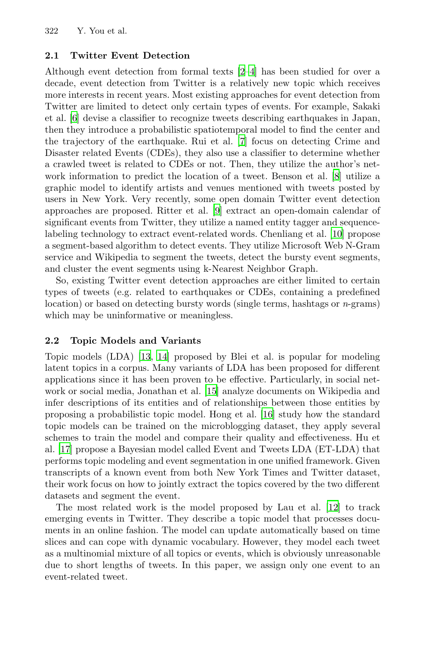### **2.1 Twitter Event Det[ec](#page-13-6)tion**

Although event detection from formal texts [2–4] has been studied for over a decade, event detection from Twitter is a relativ[el](#page-13-4)y new topic which receives more interests in recent years. Most existing approaches for event detection from Twitter are limited to detect only certain types of events. For example, Sakaki et al. [6] devise a clas[sifi](#page-13-7)er to recognize tweets describing earthquakes in Japan, then they introduce a probabilistic spatiotemporal model to find the center and the trajectory of the earthquake. Rui et al. [7] f[ocu](#page-13-8)s on detecting Crime and Disaster related Events (CDEs), they also use a classifier to determine whether a crawled tweet is related to CDEs or not. Then, they utilize the author's network information to predict the location of a tweet. Benson et al. [8] utilize a graphic model to identify artists and venues mentioned with tweets posted by users in New York. Very recently, some open domain Twitter event detection approaches are proposed. Ritter et al. [9] extract an open-domain calendar of significant events from Twitter, they utilize a named entity tagger and sequencelabeling technology to extract event-related words. Chenliang et al. [10] propose a segment-based algorithm to detect events. They utilize Microsoft Web N-Gram service and Wikipedia to segment the tweets, detect the bursty event segments, and [clu](#page-13-9)s[ter](#page-13-10) the event segments using k-Nearest Neighbor Graph.

So, existing Twitter event detection approaches are either limited to certain types of tweets (e.g. related to earthquakes or CDEs, containing a predefined location) or based o[n de](#page-13-11)tecting bursty words (single terms, hashtags or *n*-grams) which may be uninformative or [mea](#page-13-12)ningless.

### **2.2 Topic Models and Variants**

Topic models (LDA) [13, 14] proposed by Blei et al. is popular for modeling latent topics in a corpus. Many variants of LDA has been proposed for different applications since it has been proven to be effective. Particularly, in social network or social media, Jonathan et al. [15] analyze documents on Wikipedia and infer descriptions of its entities and of relationships between those entities by proposing a probabilistic topic model. Hong et a[l. \[](#page-13-5)16] study how the standard topic models can be trained on the microblogging dataset, they apply several schemes to train the model and compare their quality and effectiveness. Hu et al. [17] propose a Bayesian model called Event and Tweets LDA (ET-LDA) that performs topic modeling and event segmentation in one unified framework. Given transcripts of a known event from both New York Times and Twitter dataset, their work focus on how to jointly extract the topics covered by the two different datasets and segment the event.

The most related work is the model proposed by Lau et al. [12] to track emerging events in Twitter. They describe a topic model that processes documents in an online fashion. The model can update automatically based on time slices and can cope with dynamic vocabulary. However, they model each tweet as a multinomial mixture of all topics or events, which is obviously unreasonable due to short lengths of tweets. In this paper, we assign only one event to an event-related tweet.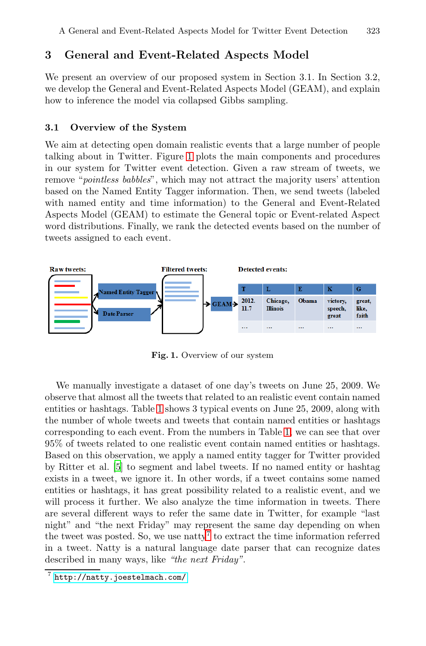### **3 General and Event-Related Aspects Model**

We present an overview of our proposed system in Section 3.1. In Section 3.2, we develop the General and Event-Related Aspects Model (GEAM), and explain how to inference the model via collapsed Gibbs sampling.

#### **3.1 Overview of the System**

We aim at detecting open domain realistic events that a large number of people talking about in Twitter. Figure 1 plots the main components and procedures in our system for Twitter event detection. Given a raw stream of tweets, we remove "*pointless babbles*", which may not attract the majority users' attention based on the Named Entity Tagger information. Then, we send tweets (labeled with named entity and time information) to the General and Event-Related Aspects Model (GEAM) to estimate the General topic or Event-related Aspect word distributions. Finally, we rank the detected events based on the number of tweets assigned to each event.



**Fig. 1.** Overview of our system

<span id="page-4-0"></span>We manually investigate a dataset of one day's tweets on June 25, 2009. We observe that almost all the tweets that related to an realistic event contain named entities or hashtags. Table 1 shows 3 typical events on June 25, 2009, along with the number of whole tweets and tweets that contain named entities or hashtags corresponding to each event. From the numbers in Table 1, we can see that over 95% of tweets relat[ed](#page-4-0) to one realistic event contain named entities or hashtags. Based on this observation, we apply a named entity tagger for Twitter provided by Ritter et al. [5] to segment and label tweets. If no named entity or hashtag exists in a tweet, we ignore it. In other words, if a tweet contains some named [entities or hasht](http://natty.joestelmach.com/)ags, it has great possibility related to a realistic event, and we will process it further. We also analyze the time information in tweets. There are several different ways to refer the same date in Twitter, for example "last night" and "the next Friday" may represent the same day depending on when the tweet was posted. So, we use natty<sup>7</sup> to extract the time information referred in a tweet. Natty is a natural language date parser that can recognize dates described in many ways, like *"the next Friday"*.

<sup>7</sup> http://natty.joestelmach.com/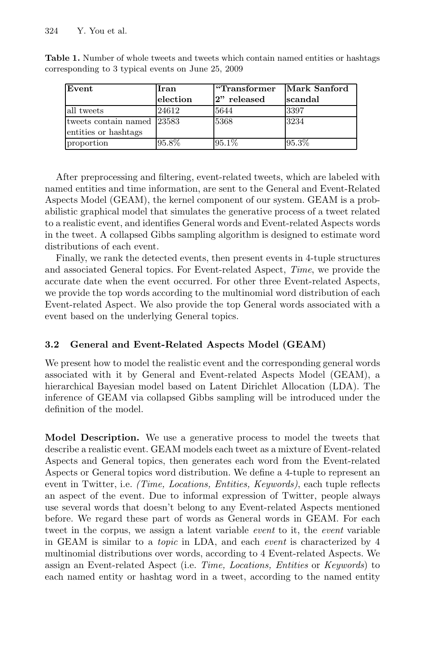| Event                                              | Iran<br>election | "Transformer"<br>2" released | Mark Sanford<br>İscandal |
|----------------------------------------------------|------------------|------------------------------|--------------------------|
| all tweets                                         | 24612            | 5644                         | 3397                     |
| tweets contain named 23583<br>entities or hashtags |                  | 5368                         | 3234                     |
| proportion                                         | 95.8%            | 95.1%                        | 95.3%                    |

**Table 1.** Number of whole tweets and tweets which contain named entities or hashtags corresponding to 3 typical events on June 25, 2009

After preprocessing and filtering, event-related tweets, which are labeled with named entities and time information, are sent to the General and Event-Related Aspects Model (GEAM), the kernel component of our system. GEAM is a probabilistic graphical model that simulates the generative process of a tweet related to a realistic event, and identifies General words and Event-related Aspects words in the tweet. A collapsed Gibbs sampling algorithm is designed to estimate word distributions of each event.

Finally, we rank the detected events, then present events in 4-tuple structures and associated General topics. For Event-related Aspect, *Time*, we provide the accurate date when the event occurred. For other three Event-related Aspects, we provide the top words according to the multinomial word distribution of each Event-related Aspect. We also provide the top General words associated with a event based on the underlying General topics.

### **3.2 General and Event-Related Aspects Model (GEAM)**

We present how to model the realistic event and the corresponding general words associated with it by General and Event-related Aspects Model (GEAM), a hierarchical Bayesian model based on Latent Dirichlet Allocation (LDA). The inference of GEAM via collapsed Gibbs sampling will be introduced under the definition of the model.

**Model Description.** We use a generative process to model the tweets that describe a realistic event. GEAM models each tweet as a mixture of Event-related Aspects and General topics, then generates each word from the Event-related Aspects or General topics word distribution. We define a 4-tuple to represent an event in Twitter, i.e. *(Time, Locations, Entities, Keywords)*, each tuple reflects an aspect of the event. Due to informal expression of Twitter, people always use several words that doesn't belong to any Event-related Aspects mentioned before. We regard these part of words as General words in GEAM. For each tweet in the corpus, we assign a latent variable *event* to it, the *event* variable in GEAM is similar to a *topic* in LDA, and each *event* is characterized by 4 multinomial distributions over words, according to 4 Event-related Aspects. We assign an Event-related Aspect (i.e. *Time, Locations, Entities* or *Keywords*) to each named entity or hashtag word in a tweet, according to the named entity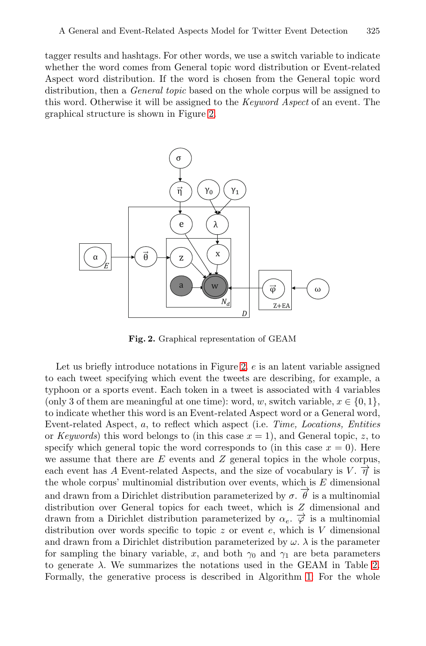tagger results and hashtags. For other words, we use a switch variable to indicate whether the word comes from General topic word distribution or Event-related Aspect word distribution. If the word is chosen from the General topic word distribution, then a *General topic* based on the whole corpus will be assigned to this word. Otherwise it will be assigned to the *Keyword Aspect* of an event. The graphical structure is shown in Figure 2.

<span id="page-6-0"></span>

**Fig. 2.** Graphical representation of GEAM

Let us briefly introduce notations in Figure 2.  $e$  is an latent variable assigned to each tweet specifying which event the tweets are describing, for example, a typhoon or a sports event. Each token in a tweet is associated with 4 variables (only 3 of them are meaningful at one time): word, w, switch variable,  $x \in \{0, 1\}$ , to indicate whether this word is an Event-related Aspect word or a General word, Event-related Aspect, a, to reflect which aspect (i.e. *Time, Locations, Entities* or *Keywords*) this word belongs to (in this case  $x = 1$ ), and General topic, z, to specify which general topic the word corresponds to (in this case  $x = 0$ ). Here we assume that there are  $E$  events and  $Z$  general topics in the whole corpus, each event has A Event-related Aspects, and the size of v[oca](#page-7-0)bulary is V.  $\vec{\eta}$  is the whole corpus' multinomial distribution [ov](#page-8-0)er events, which is  $E$  dimensional and drawn from a Dirichlet distribution parameterized by  $\sigma$ .  $\vec{\theta}$  is a multinomial distribution over General topics for each tweet, which is Z dimensional and drawn from a Dirichlet distribution parameterized by  $\alpha_e$ .  $\vec{\varphi}$  is a multinomial distribution over words specific to topic  $z$  or event  $e$ , which is  $V$  dimensional and drawn from a Dirichlet distribution parameterized by  $\omega$ .  $\lambda$  is the parameter for sampling the binary variable, x, and both  $\gamma_0$  and  $\gamma_1$  are beta parameters to generate  $\lambda$ . We summarizes the notations used in the GEAM in Table 2. Formally, the generative process is described in Algorithm 1: For the whole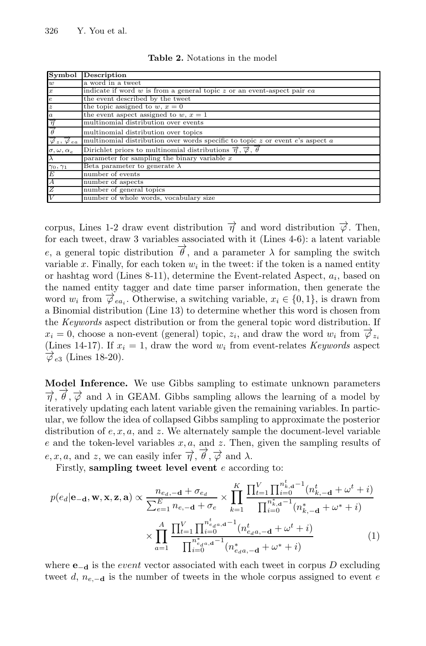|                                                                | <b>Symbol</b> Description                                                               |  |
|----------------------------------------------------------------|-----------------------------------------------------------------------------------------|--|
| w                                                              | a word in a tweet                                                                       |  |
| $\boldsymbol{x}$                                               | indicate if word $w$ is from a general topic $z$ or an event-aspect pair $ea$           |  |
| $\epsilon$                                                     | the event described by the tweet                                                        |  |
| $\boldsymbol{z}$                                               | the topic assigned to $w, x = 0$                                                        |  |
| $\boldsymbol{a}$                                               | the event aspect assigned to $w, x = 1$                                                 |  |
|                                                                | multinomial distribution over events                                                    |  |
|                                                                | multinomial distribution over topics                                                    |  |
| $\overrightarrow{\varphi}_z$ , $\overrightarrow{\varphi}_{ea}$ | multinomial distribution over words specific to topic $z$ or event $e$ 's aspect $a$    |  |
| $\sigma, \omega, \alpha_e$                                     | Dirichlet priors to multinomial distributions $\vec{\eta}, \vec{\varphi}, \vec{\theta}$ |  |
|                                                                | parameter for sampling the binary variable $x$                                          |  |
| $\gamma_0,\gamma_1$                                            | Beta parameter to generate $\lambda$                                                    |  |
| E                                                              | number of events                                                                        |  |
| $\boldsymbol{A}$                                               | number of aspects                                                                       |  |
| Z                                                              | number of general topics                                                                |  |
|                                                                | number of whole words, vocabulary size                                                  |  |

<span id="page-7-0"></span>**Table 2.** Notations in the model

corpus, Lines 1-2 draw event distribution  $\vec{\eta}$  and word distribution  $\vec{\phi}$ . Then, for each tweet, draw 3 variables associated with it (Lines 4-6): a latent variable e, a general topic distribution  $\vec{\theta}$ , and a parameter  $\lambda$  for sampling the switch variable x. Finally, for each token  $w_i$  in the tweet: if the token is a named entity or hashtag word (Lines 8-11), determine the Event-related Aspect,  $a_i$ , based on the named entity tagger and date time parser information, then generate the word  $w_i$  from  $\overrightarrow{\varphi}_{ea_i}$ . Otherwise, a switching variable,  $x_i \in \{0,1\}$ , is drawn from a Binomial distribution (Line 13) to determine whether this word is chosen from the *Keywords* aspect distribution or from the general topic word distribution. If  $x_i = 0$ , choose a non-event (general) topic,  $z_i$ , and draw the word  $w_i$  from  $\overrightarrow{\varphi}_{z_i}$ (Lines 14-17). If  $x_i = 1$ , draw the word  $w_i$  from event-relates *Keywords* aspect  $\overrightarrow{\phi}_{e3}$  (Lines 18-20).

**Model Inference.** We use Gibbs sampling to estimate unknown parameters  $\vec{\pi}$ ,  $\vec{\theta}$ ,  $\vec{\varphi}$  and  $\lambda$  in GEAM. Gibbs sampling allows the learning of a model by iteratively updating each latent variable given the remaining variables. In particular, we follow the idea of collapsed Gibbs sampling to approximate the posterior distribution of  $e, x, a$ , and  $z$ . We alternately sample the document-level variable  $e$  and the token-level variables  $x, a$ , and  $z$ . Then, given the sampling results of e, x, a, and z, we can easily infer  $\overrightarrow{\eta}$ ,  $\overrightarrow{\theta}$ ,  $\overrightarrow{\varphi}$  and  $\lambda$ .

Firstly, **sampling tweet level event** e according to:

$$
p(e_d|\mathbf{e}_{-\mathbf{d}}, \mathbf{w}, \mathbf{x}, \mathbf{z}, \mathbf{a}) \propto \frac{n_{e_d, -\mathbf{d}} + \sigma_{e_d}}{\sum_{e=1}^{E} n_{e, -\mathbf{d}} + \sigma_e} \times \prod_{k=1}^{K} \frac{\prod_{t=1}^{V} \prod_{i=0}^{n_{k,d}^t - 1} (n_{k, -\mathbf{d}}^t + \omega^t + i)}{\prod_{i=0}^{n_{k,d}^t - 1} (n_{k, -\mathbf{d}}^t + \omega^t + i)} \times \prod_{a=1}^{A} \frac{\prod_{t=1}^{V} \prod_{i=0}^{n_{e_d, a}^t - 1} (n_{e_d, -\mathbf{d}}^t + \omega^t + i)}{\prod_{i=0}^{n_{e_d, a}^t - 1} (n_{e_d, -\mathbf{d}}^t + \omega^t + i)} \tag{1}
$$

where  $\mathbf{e}_{-\mathbf{d}}$  is the *event* vector associated with each tweet in corpus D excluding tweet d,  $n_{e,-d}$  is the number of tweets in the whole corpus assigned to event e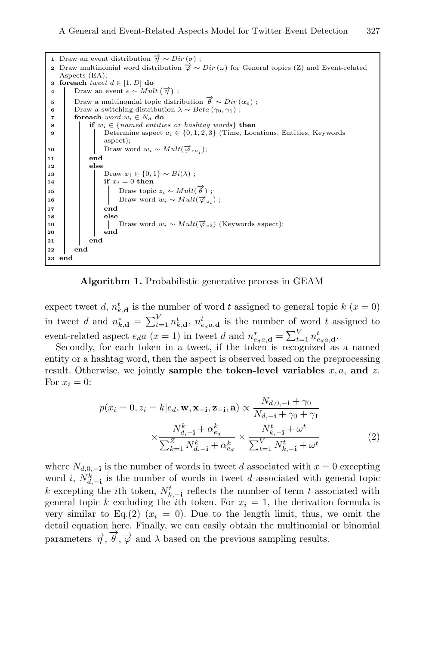```
1 Draw an event distribution \vec{\eta} \sim Dir(\sigma);
 2 Draw multinomial word distribution \vec{\varphi} \sim Dir(\omega) for General topics (Z) and Event-related
    Aspects (EA);
3 foreach tweet d ∈ [1, D] do
 4 Draw an event e \sim Mult(\vec{\tau});
 5 Draw a multinomial topic distribution \overrightarrow{\theta} \sim Dir(\alpha_e);
6 Draw a switching distribution \lambda \sim Beta(\gamma_0, \gamma_1);<br>foreach ward w. ∈ N<sub>i</sub> do
7 foreach word \ w_i \in N_d do<br>8 if w_i \in \{named \ entityif w_i \in \{named \ entities \ or \ hashing \ words\} then
 9 Determine aspect a_i \in \{0, 1, 2, 3\} (Time, Locations, Entities, Keywords
                  aspect);
10 Draw word w_i \sim Mult(\overrightarrow{\phi}_{ea_i});11 end
12 else
13 Draw x_i \in \{0, 1\} \sim Bi(\lambda);<br>14 if x_i = 0 then
                  if x_i = 0 then
15 Draw topic z_i \sim Mult(\vec{\theta});
16 Draw word w_i \sim Mult(\overrightarrow{\varphi}_{z_i});
17 end
18 else
19 Draw word w_i \sim Mult(\vec{\phi}_{e3}) (Keywords aspect);
20 end
21 end
22 end
23 end
```


expect tweet d,  $n_{k,\mathbf{d}}^t$  is the number of word t assigned to general topic  $k$  ( $x = 0$ ) in tweet d and  $n_{k,\mathbf{d}}^* = \sum_{t=1}^V n_{k,\mathbf{d}}^t$ ,  $n_{e_d}^t$ , d is the number of word t assigned to event-related aspect  $e_d a$  ( $x = 1$ ) in tweet d and  $n_{e_d a, \mathbf{d}}^* = \sum_{t=1}^V n_{e_d a, \mathbf{d}}^t$ .

Secondly, for each token in a tweet, if the token is recognized as a named entity or a hashtag word, then the aspect is observed based on the preprocessing result. Otherwise, we jointly **sample the token-level variables**  $x, a$ , and  $z$ . For  $x_i = 0$ :

$$
p(x_i = 0, z_i = k | e_d, \mathbf{w}, \mathbf{x}_{-i}, \mathbf{z}_{-i}, \mathbf{a}) \propto \frac{N_{d,0,-i} + \gamma_0}{N_{d,-i} + \gamma_0 + \gamma_1}
$$

$$
\times \frac{N_{d,-i}^k + \alpha_{e_d}^k}{\sum_{k=1}^Z N_{d,-i}^k + \alpha_{e_d}^k} \times \frac{N_{k,-i}^t + \omega^t}{\sum_{t=1}^V N_{k,-i}^t + \omega^t}
$$
(2)

where  $N_{d,0,-1}$  is the number of words in tweet d associated with  $x = 0$  excepting word *i*,  $N_{d,-1}^{k}$  is the number of words in tweet d associated with general topic k excepting the *i*th token,  $N_{k,-i}^t$  reflects the number of term t associated with general topic k excluding the ith token. For  $x<sub>i</sub> = 1$ , the derivation formula is very similar to Eq.(2)  $(x_i = 0)$ . Due to the length limit, thus, we omit the detail equation here. Finally, we can easily obtain the multinomial or binomial parameters  $\vec{\eta}, \vec{\theta}, \vec{\varphi}$  and  $\lambda$  based on the previous sampling results.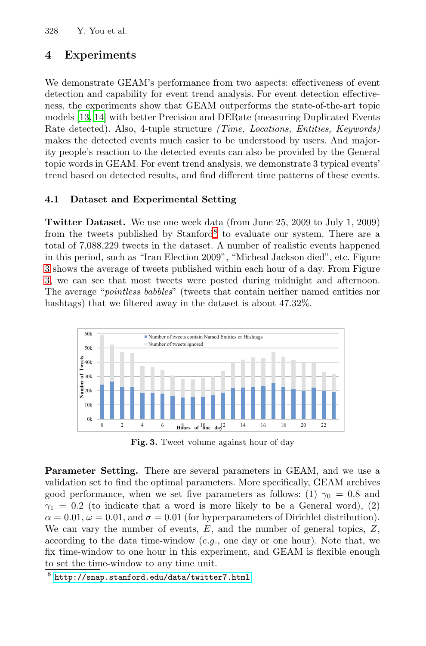### **4 Experiments**

We demonstrate GEAM's performance from two aspects: effectiveness of event detection and capability for event trend analysis. For event detection effectiveness, the experiments show that GEAM outperforms the state-of-the-art topic models [13, 14] with better Precision and DERate (measuring Duplicated Events Rate detected). Also, 4-tuple structure *(Time, Locations, Entities, Keywords)* makes the detected e[ve](#page-9-0)nts much easier to be understood by users. And majority people's reaction to the detected events can also be provided by the General topic words in GEAM. For event trend analysis, we demonstrate 3 typical events' trend based on detected results, and find different time patterns of these events.

#### **4.1 Dataset and Experimental Setting**

**Twitter Dataset.** We use one week data (from June 25, 2009 to July 1, 2009) from the tweets published by  $Stanford^8$  to evaluate our system. There are a total of 7,088,229 tweets in the dataset. A number of realistic events happened in this period, such as "Iran Election 2009", "Micheal Jackson died", etc. Figure 3 shows the average of tweets published within each hour of a day. From Figure 3, we can see that most tweets were posted during midnight and afternoon. The average "*pointless babbles*" (tweets that contain neither named entities nor hashtags) that we filtered away in the dataset is about 47.32%.



**Fig. 3.** Tweet volume against hour of day

<span id="page-9-0"></span>**Parameter Setting.** There are several parameters in GEAM, and we use a validation set to find the optimal parameters. More specifically, GEAM archives [good](http://snap.stanford.edu/data/twitter7.html) [performance,](http://snap.stanford.edu/data/twitter7.html) [when](http://snap.stanford.edu/data/twitter7.html) [we](http://snap.stanford.edu/data/twitter7.html) [se](http://snap.stanford.edu/data/twitter7.html)t five parameters as follows: (1)  $\gamma_0 = 0.8$  and  $\gamma_1 = 0.2$  (to indicate that a word is more likely to be a General word), (2)  $\alpha = 0.01, \omega = 0.01$ , and  $\sigma = 0.01$  (for hyperparameters of Dirichlet distribution). We can vary the number of events,  $E$ , and the number of general topics,  $Z$ , according to the data time-window  $(e.g.,$  one day or one hour). Note that, we fix time-window to one hour in this experiment, and GEAM is flexible enough to set the time-window to any time unit.

<sup>8</sup> http://snap.stanford.edu/data/twitter7.html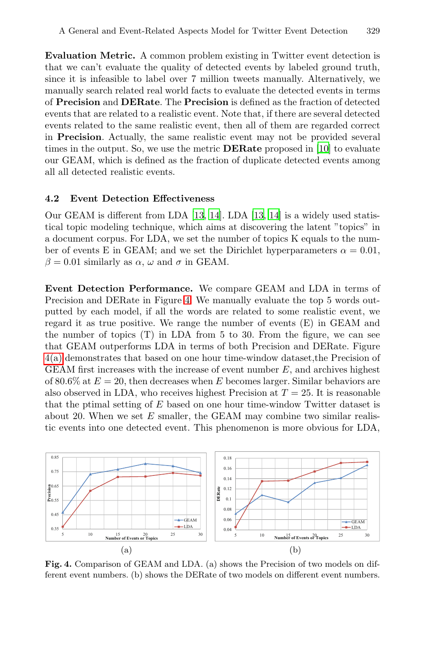**Evaluation Metric.** A common problem exis[tin](#page-13-8)g in Twitter event detection is that we can't evaluate the quality of detected events by labeled ground truth, since it is infeasible to label over 7 million tweets manually. Alternatively, we manually search related real world facts to evaluate the detected events in terms of **Precision** and **DERate**. The **Precision** is defined as the fraction of detected events that are related to a realistic event. Note that, if there are several detected events related to [the](#page-13-9) [sam](#page-13-10)e real[istic](#page-13-9) [ev](#page-13-10)ent, then all of them are regarded correct in **Precision**. Actually, the same realistic event may not be provided several times in the output. So, we use the metric **DERate** proposed in [10] to evaluate our GEAM, which is defined as the fraction of duplicate detected events among all all detected realistic events.

#### **4.2 Event Detection Effectiveness**

Our GEAM is [di](#page-10-0)fferent from LDA [13, 14]. LDA [13, 14] is a widely used statistical topic modeling technique, which aims at discovering the latent "topics" in a document corpus. For LDA, we set the number of topics K equals to the number of events E in GEAM; and we set the Dirichlet hyperparameters  $\alpha = 0.01$ ,  $\beta = 0.01$  similarly as  $\alpha$ ,  $\omega$  and  $\sigma$  in GEAM.

**Event Detection Performance.** We compare GEAM and LDA in terms of Precision and DERate in Figure 4. We manually evaluate the top 5 words outputted by each model, if all the words are related to some realistic event, we regard it as true positive. We range the number of events (E) in GEAM and the number of topics (T) in LDA from 5 to 30. From the figure, we can see that GEAM outperforms LDA in terms of both Precision and DERate. Figure 4(a) demonstrates that based on one hour time-window dataset,the Precision of GEAM first increases with the increase of event number  $E$ , and archives highest of 80.6% at  $E = 20$ , then decreases when E becomes larger. Similar behaviors are also observed in LDA, who receives highest Precision at  $T = 25$ . It is reasonable that the ptimal setting of  $E$  based on one hour time-window Twitter dataset is about 20. When we set  $E$  smaller, the GEAM may combine two similar realistic events into one detected event. This phenomenon is more obvious for LDA,

<span id="page-10-0"></span>

**Fig. 4.** Comparison of GEAM and LDA. (a) shows the Precision of two models on different event numbers. (b) shows the DERate of two models on different event numbers.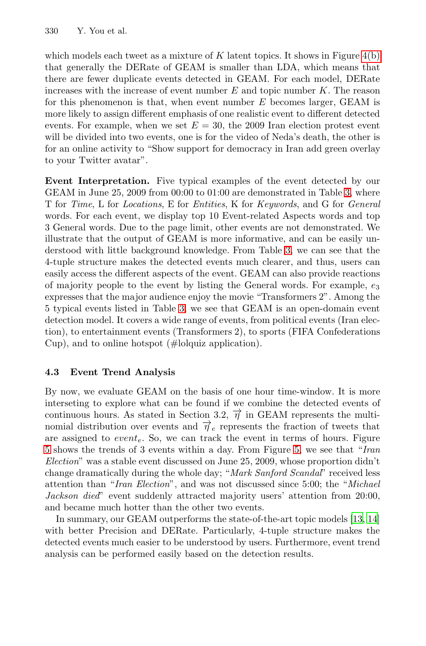which models each tweet as a mixture of K latent topics. It shows in Figure  $4(b)$ that generally the DERate of GEAM is smaller than LDA, which means that there are fewer duplicate events detected in GEAM. For each model, DERate increases with the increase of event number  $E$  and topic number  $K$ . The reason for this phenomenon is that, when event num[b](#page-12-0)er  $E$  becomes larger, GEAM is more likely to assign different emphasis of one realistic event to different detected events. For example, when we set  $E = 30$ , the 2009 Iran election protest event will be divided into two events, one is for the video of Neda's death, the other is for an online activity to "Show support for democracy in Iran add green overlay to your Twitter avatar".

**Event Interpretation.** Five typical examples of the event detected by our GEAM in June 25, 2009 from 00:00 to 01:00 are demonstrated in Table 3, where T for *Time*, L for *Locations*, E for *Entities*, K for *Keywords*, and G for *General* words. For ea[ch](#page-12-0) event, we display top 10 Event-related Aspects words and top 3 General words. Due to the page limit, other events are not demonstrated. We illustrate that the output of GEAM is more informative, and can be easily understood with little background knowledge. From Table 3, we can see that the 4-tuple structure makes the detected events much clearer, and thus, users can easily access the different aspects of the event. GEAM can also provide reactions of majority people to the event by listing the General words. For example,  $e_3$ expresses that the major audience enjoy the movie "Transformers 2". Among the 5 typical events listed in Table 3, we see that GEAM is an open-domain event detection model. It covers a wide range of events, from political events (Iran election), to entertainment events (Transformers 2), to sports (FIFA Confederations Cup), and to online hotspot (#lolquiz application).

### **4.3 Event Trend Analysis**

By now, we evaluate GEAM on the basis of one hour time-window. It is more interseting to explore what can be found if we combine the detected events of continuous hours. As stated in Section 3.2,  $\overrightarrow{\eta}$  in GEAM represents the multinomial distribution over events and  $\overrightarrow{\eta}_e$  represents th[e fr](#page-13-9)[act](#page-13-10)ion of tweets that are assigned to  $event_e$ . So, we can track the event in terms of hours. Figure 5 shows the trends of 3 events within a day. From Figure 5, we see that "*Iran Election*" was a stable event discussed on June 25, 2009, whose proportion didn't change dramatically during the whole day; "*Mark Sanford Scandal*" received less attention than "*Iran Election*", and was not discussed since 5:00; the "*Michael Jackson died*" event suddenly attracted majority users' attention from 20:00, and became much hotter than the other two events.

In summary, our GEAM outperforms the state-of-the-art topic models [13, 14] with better Precision and DERate. Particularly, 4-tuple structure makes the detected events much easier to be understood by users. Furthermore, event trend analysis can be performed easily based on the detection results.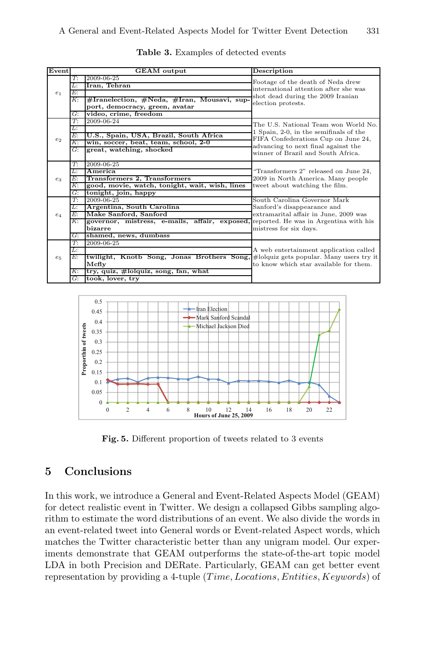| Event          | <b>GEAM</b> output |                                                                                      | Description                                                                    |  |
|----------------|--------------------|--------------------------------------------------------------------------------------|--------------------------------------------------------------------------------|--|
|                | T:                 | $2009 - 06 - 25$                                                                     | Footage of the death of Neda drew                                              |  |
|                | Ŀ                  | Iran, Tehran                                                                         | international attention after she was                                          |  |
| e <sub>1</sub> | E:                 |                                                                                      | shot dead during the 2009 Iranian                                              |  |
|                | К:                 | #Iranelection, #Neda, #Iran, Mousavi, sup-                                           | election protests.                                                             |  |
|                |                    | port, democracy, green, avatar                                                       |                                                                                |  |
|                | G:                 | video, crime, freedom                                                                |                                                                                |  |
|                | T:                 | 2009-06-24                                                                           | The U.S. National Team won World No.<br>1 Spain, 2-0, in the semifinals of the |  |
|                | Ŀ                  |                                                                                      |                                                                                |  |
| e <sub>2</sub> | E:                 | U.S., Spain, USA, Brazil, South Africa                                               | FIFA Confederations Cup on June 24,                                            |  |
|                | К:                 | win, soccer, beat, team, school, 2-0                                                 | advancing to next final against the                                            |  |
|                | $G$ :              | great, watching, shocked                                                             | winner of Brazil and South Africa.                                             |  |
|                |                    |                                                                                      |                                                                                |  |
|                | T:                 | 2009-06-25                                                                           |                                                                                |  |
|                | L:<br>E:           | America                                                                              | "Transformers 2" released on June 24,                                          |  |
| $e_3$          | K:                 | Transformers 2, Transformers                                                         | 2009 in North America. Many people                                             |  |
|                |                    | good, movie, watch, tonight, wait, wish, lines                                       | tweet about watching the film.                                                 |  |
|                | G:<br>T:           | tonight, join, happy<br>2009-06-25                                                   | South Carolina Governor Mark                                                   |  |
|                | Ŀ.                 | Argentina, South Carolina                                                            | Sanford's disappearance and                                                    |  |
|                | E:                 | Make Sanford, Sanford                                                                | extramarital affair in June, 2009 was                                          |  |
| $e_4$          | К:                 | governor, mistress, e-mails, affair, exposed, reported. He was in Argentina with his |                                                                                |  |
|                |                    | bizarre                                                                              | mistress for six days.                                                         |  |
|                | G:                 | shamed, news, dumbass                                                                |                                                                                |  |
|                | $T$ :              | 2009-06-25                                                                           |                                                                                |  |
|                | L:                 |                                                                                      | A web entertainment application called                                         |  |
| $e_5$          | Е:                 | twilight, Knotb Song, Jonas Brothers Song, #lolquiz gets popular. Many users try it  |                                                                                |  |
|                |                    | Mcfly                                                                                | to know which star available for them.                                         |  |
|                | К:                 | try, quiz, #lolquiz, song, fan, what                                                 |                                                                                |  |
|                | G:                 | took, lover, try                                                                     |                                                                                |  |

<span id="page-12-0"></span>**Table 3.** Examples of detected events



**Fig. 5.** Different proportion of tweets related to 3 events

### **5 Conclusions**

In this work, we introduce a General and Event-Related Aspects Model (GEAM) for detect realistic event in Twitter. We design a collapsed Gibbs sampling algorithm to estimate the word distributions of an event. We also divide the words in an event-related tweet into General words or Event-related Aspect words, which matches the Twitter characteristic better than any unigram model. Our experiments demonstrate that GEAM outperforms the state-of-the-art topic model LDA in both Precision and DERate. Particularly, GEAM can get better event representation by providing a 4-tuple  $(Time, Locations, Entities, Keywords)$  of